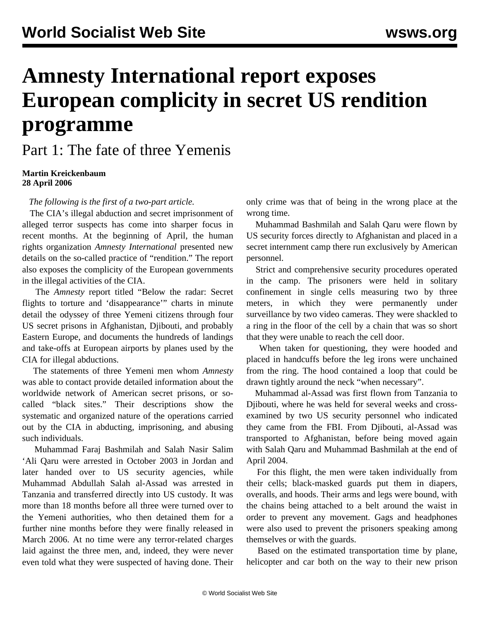## **Amnesty International report exposes European complicity in secret US rendition programme**

Part 1: The fate of three Yemenis

**Martin Kreickenbaum 28 April 2006**

*The following is the first of a two-part article.*

 The CIA's illegal abduction and secret imprisonment of alleged terror suspects has come into sharper focus in recent months. At the beginning of April, the human rights organization *Amnesty International* presented new details on the so-called practice of "rendition." The report also exposes the complicity of the European governments in the illegal activities of the CIA.

 The *Amnesty* report titled ["Below the radar: Secret](http://web.amnesty.org/library/index/ENGAMR510512006) [flights to torture and 'disappearance'"](http://web.amnesty.org/library/index/ENGAMR510512006) charts in minute detail the odyssey of three Yemeni citizens through four US secret prisons in Afghanistan, Djibouti, and probably Eastern Europe, and documents the hundreds of landings and take-offs at European airports by planes used by the CIA for illegal abductions.

 The statements of three Yemeni men whom *Amnesty* was able to contact provide detailed information about the worldwide network of American secret prisons, or socalled "black sites." Their descriptions show the systematic and organized nature of the operations carried out by the CIA in abducting, imprisoning, and abusing such individuals.

 Muhammad Faraj Bashmilah and Salah Nasir Salim 'Ali Qaru were arrested in October 2003 in Jordan and later handed over to US security agencies, while Muhammad Abdullah Salah al-Assad was arrested in Tanzania and transferred directly into US custody. It was more than 18 months before all three were turned over to the Yemeni authorities, who then detained them for a further nine months before they were finally released in March 2006. At no time were any terror-related charges laid against the three men, and, indeed, they were never even told what they were suspected of having done. Their

only crime was that of being in the wrong place at the wrong time.

 Muhammad Bashmilah and Salah Qaru were flown by US security forces directly to Afghanistan and placed in a secret internment camp there run exclusively by American personnel.

 Strict and comprehensive security procedures operated in the camp. The prisoners were held in solitary confinement in single cells measuring two by three meters, in which they were permanently under surveillance by two video cameras. They were shackled to a ring in the floor of the cell by a chain that was so short that they were unable to reach the cell door.

 When taken for questioning, they were hooded and placed in handcuffs before the leg irons were unchained from the ring. The hood contained a loop that could be drawn tightly around the neck "when necessary".

 Muhammad al-Assad was first flown from Tanzania to Djibouti, where he was held for several weeks and crossexamined by two US security personnel who indicated they came from the FBI. From Djibouti, al-Assad was transported to Afghanistan, before being moved again with Salah Qaru and Muhammad Bashmilah at the end of April 2004.

 For this flight, the men were taken individually from their cells; black-masked guards put them in diapers, overalls, and hoods. Their arms and legs were bound, with the chains being attached to a belt around the waist in order to prevent any movement. Gags and headphones were also used to prevent the prisoners speaking among themselves or with the guards.

 Based on the estimated transportation time by plane, helicopter and car both on the way to their new prison